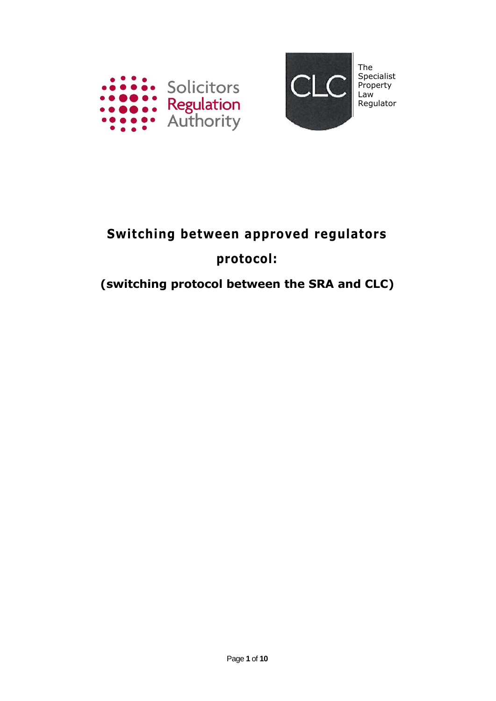



# **Switching between approved regulators protocol:**

### **(switching protocol between the SRA and CLC)**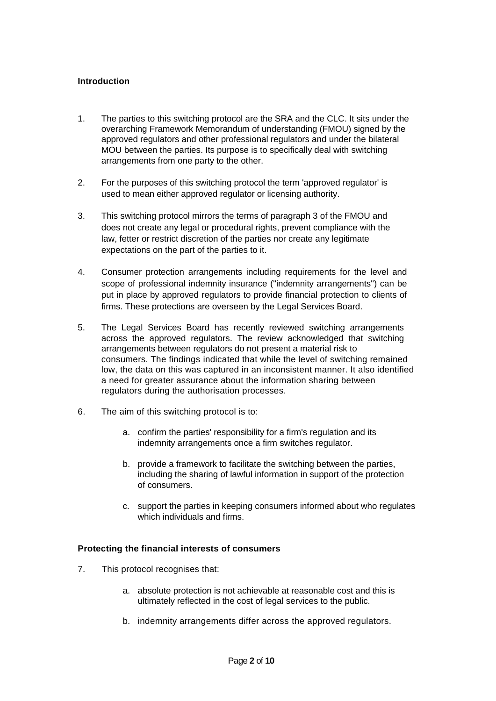#### **Introduction**

- 1. The parties to this switching protocol are the SRA and the CLC. It sits under the overarching Framework Memorandum of understanding (FMOU) signed by the approved regulators and other professional regulators and under the bilateral MOU between the parties. Its purpose is to specifically deal with switching arrangements from one party to the other.
- 2. For the purposes of this switching protocol the term 'approved regulator' is used to mean either approved regulator or licensing authority.
- 3. This switching protocol mirrors the terms of paragraph 3 of the FMOU and does not create any legal or procedural rights, prevent compliance with the law, fetter or restrict discretion of the parties nor create any legitimate expectations on the part of the parties to it.
- 4. Consumer protection arrangements including requirements for the level and scope of professional indemnity insurance ("indemnity arrangements") can be put in place by approved regulators to provide financial protection to clients of firms. These protections are overseen by the Legal Services Board.
- 5. The Legal Services Board has recently reviewed switching arrangements across the approved regulators. The review acknowledged that switching arrangements between regulators do not present a material risk to consumers. The findings indicated that while the level of switching remained low, the data on this was captured in an inconsistent manner. It also identified a need for greater assurance about the information sharing between regulators during the authorisation processes.
- 6. The aim of this switching protocol is to:
	- a. confirm the parties' responsibility for a firm's regulation and its indemnity arrangements once a firm switches regulator.
	- b. provide a framework to facilitate the switching between the parties, including the sharing of lawful information in support of the protection of consumers.
	- c. support the parties in keeping consumers informed about who regulates which individuals and firms.

#### **Protecting the financial interests of consumers**

- 7. This protocol recognises that:
	- a. absolute protection is not achievable at reasonable cost and this is ultimately reflected in the cost of legal services to the public.
	- b. indemnity arrangements differ across the approved regulators.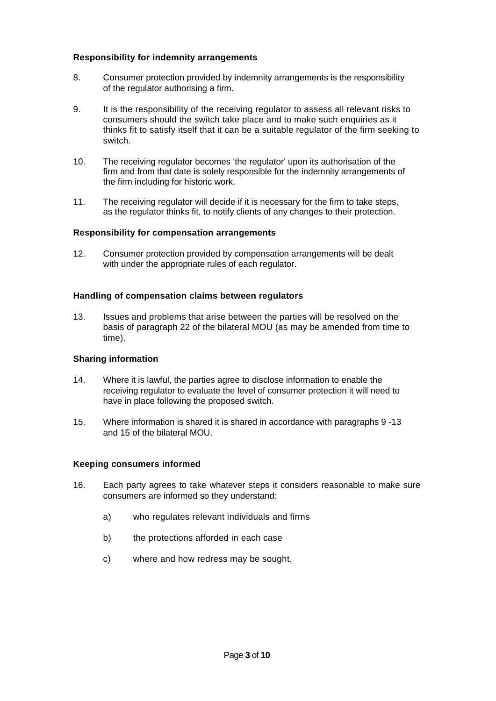#### **Responsibility for indemnity arrangements**

- 8. Consumer protection provided by indemnity arrangements is the responsibility of the regulator authorising a firm.
- 9. It is the responsibility of the receiving regulator to assess all relevant risks to consumers should the switch take place and to make such enquiries as it thinks fit to satisfy itself that it can be a suitable regulator of the firm seeking to switch.
- 10. The receiving regulator becomes 'the regulator' upon its authorisation of the firm and from that date is solely responsible for the indemnity arrangements of the firm including for historic work.
- 11. The receiving regulator will decide if it is necessary for the firm to take steps, as the regulator thinks fit, to notify clients of any changes to their protection.

#### **Responsibility for compensation arrangements**

12. Consumer protection provided by compensation arrangements will be dealt with under the appropriate rules of each regulator.

#### **Handling of compensation claims between regulators**

13. Issues and problems that arise between the parties will be resolved on the basis of paragraph 22 of the bilateral MOU (as may be amended from time to time).

#### **Sharing information**

- 14. Where it is lawful, the parties agree to disclose information to enable the receiving regulator to evaluate the level of consumer protection it will need to have in place following the proposed switch.
- 15. Where information is shared it is shared in accordance with paragraphs 9 -13 and 15 of the bilateral MOU.

#### **Keeping consumers informed**

- 16. Each party agrees to take whatever steps it considers reasonable to make sure consumers are informed so they understand:
	- a) who regulates relevant individuals and firms
	- b) the protections afforded in each case
	- c) where and how redress may be sought.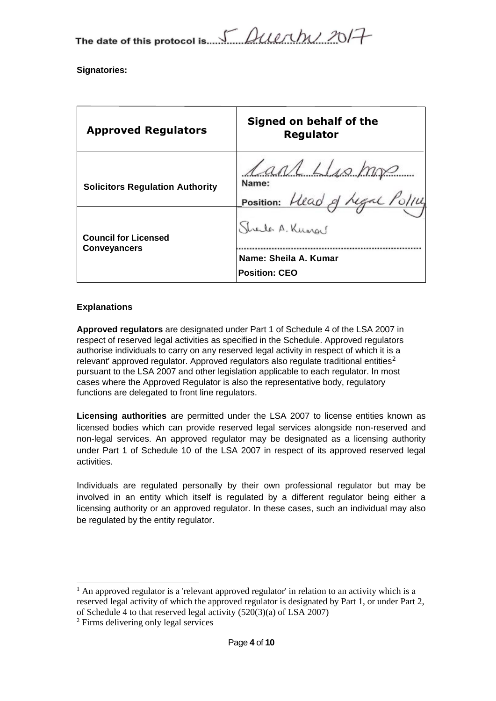The date of this protocol is. 5 *Querthy 2017* 

**Signatories:**

| <b>Approved Regulators</b>                         | Signed on behalf of the<br>Regulator                    |
|----------------------------------------------------|---------------------------------------------------------|
| <b>Solicitors Regulation Authority</b>             | Lant Llis mg<br>Name:<br>Position: Head of Legal Police |
| <b>Council for Licensed</b><br><b>Conveyancers</b> | Streiter A. Kungel                                      |
|                                                    | Name: Sheila A. Kumar<br><b>Position: CEO</b>           |

#### **Explanations**

**Approved regulators** are designated under Part 1 of Schedule 4 of the LSA 2007 in respect of reserved legal activities as specified in the Schedule. Approved regulators authorise individuals to carry on any reserved legal activity in respect of which it is a relevant' approved regulator. Approved regulators also regulate traditional entities<sup>2</sup> pursuant to the LSA 2007 and other legislation applicable to each regulator. In most cases where the Approved Regulator is also the representative body, regulatory functions are delegated to front line regulators.

**Licensing authorities** are permitted under the LSA 2007 to license entities known as licensed bodies which can provide reserved legal services alongside non-reserved and non-legal services. An approved regulator may be designated as a licensing authority under Part 1 of Schedule 10 of the LSA 2007 in respect of its approved reserved legal activities.

Individuals are regulated personally by their own professional regulator but may be involved in an entity which itself is regulated by a different regulator being either a licensing authority or an approved regulator. In these cases, such an individual may also be regulated by the entity regulator.

<sup>1</sup> An approved regulator is a 'relevant approved regulator' in relation to an activity which is a reserved legal activity of which the approved regulator is designated by Part 1, or under Part 2, of Schedule 4 to that reserved legal activity (520(3)(a) of LSA 2007)

<sup>2</sup> Firms delivering only legal services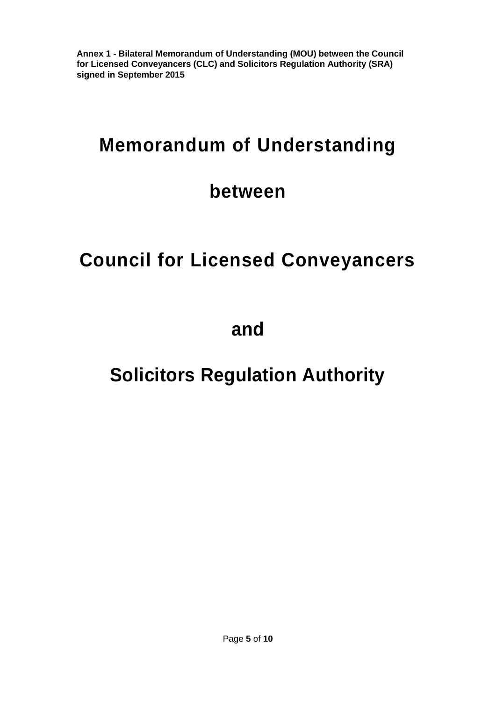**Annex 1 - Bilateral Memorandum of Understanding (MOU) between the Council for Licensed Conveyancers (CLC) and Solicitors Regulation Authority (SRA) signed in September 2015**

### **Memorandum of Understanding**

### **between**

## **Council for Licensed Conveyancers**

**and**

### **Solicitors Regulation Authority**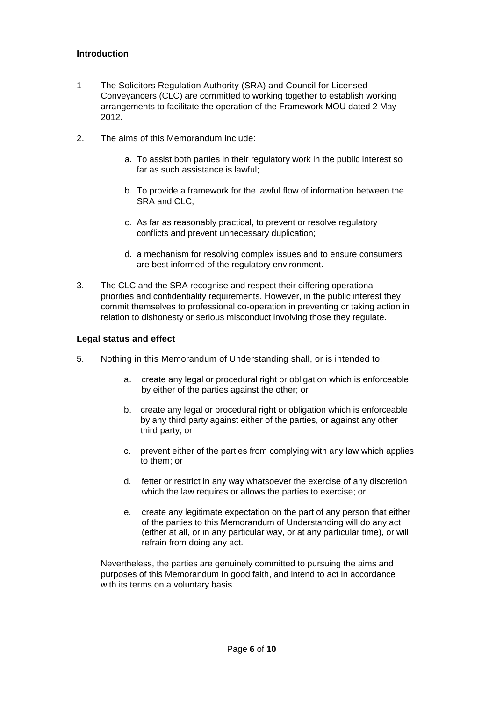#### **Introduction**

- 1 The Solicitors Regulation Authority (SRA) and Council for Licensed Conveyancers (CLC) are committed to working together to establish working arrangements to facilitate the operation of the Framework MOU dated 2 May 2012.
- 2. The aims of this Memorandum include:
	- a. To assist both parties in their regulatory work in the public interest so far as such assistance is lawful;
	- b. To provide a framework for the lawful flow of information between the SRA and CLC;
	- c. As far as reasonably practical, to prevent or resolve regulatory conflicts and prevent unnecessary duplication;
	- d. a mechanism for resolving complex issues and to ensure consumers are best informed of the regulatory environment.
- 3. The CLC and the SRA recognise and respect their differing operational priorities and confidentiality requirements. However, in the public interest they commit themselves to professional co-operation in preventing or taking action in relation to dishonesty or serious misconduct involving those they regulate.

#### **Legal status and effect**

- 5. Nothing in this Memorandum of Understanding shall, or is intended to:
	- a. create any legal or procedural right or obligation which is enforceable by either of the parties against the other; or
	- b. create any legal or procedural right or obligation which is enforceable by any third party against either of the parties, or against any other third party; or
	- c. prevent either of the parties from complying with any law which applies to them; or
	- d. fetter or restrict in any way whatsoever the exercise of any discretion which the law requires or allows the parties to exercise; or
	- e. create any legitimate expectation on the part of any person that either of the parties to this Memorandum of Understanding will do any act (either at all, or in any particular way, or at any particular time), or will refrain from doing any act.

Nevertheless, the parties are genuinely committed to pursuing the aims and purposes of this Memorandum in good faith, and intend to act in accordance with its terms on a voluntary basis.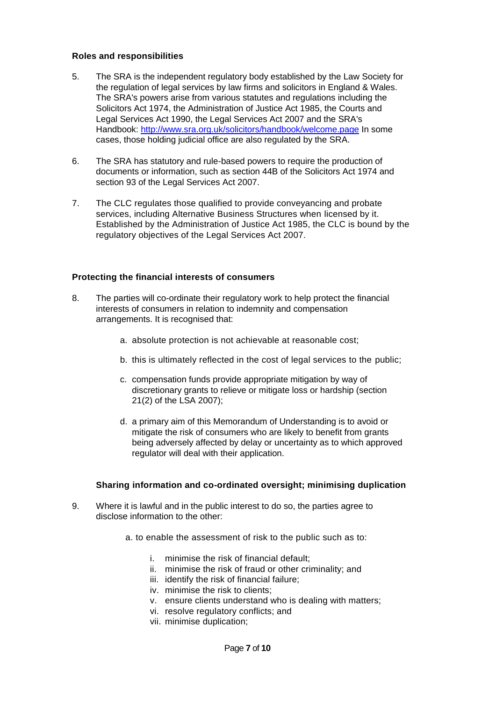#### **Roles and responsibilities**

- 5. The SRA is the independent regulatory body established by the Law Society for the regulation of legal services by law firms and solicitors in England & Wales. The SRA's powers arise from various statutes and regulations including the Solicitors Act 1974, the Administration of Justice Act 1985, the Courts and Legal Services Act 1990, the Legal Services Act 2007 and the SRA's Handbook:<http://www.sra.org.uk/solicitors/handbook/welcome.page> In some cases, those holding judicial office are also regulated by the SRA.
- 6. The SRA has statutory and rule-based powers to require the production of documents or information, such as section 44B of the Solicitors Act 1974 and section 93 of the Legal Services Act 2007.
- 7. The CLC regulates those qualified to provide conveyancing and probate services, including Alternative Business Structures when licensed by it. Established by the Administration of Justice Act 1985, the CLC is bound by the regulatory objectives of the Legal Services Act 2007.

#### **Protecting the financial interests of consumers**

- 8. The parties will co-ordinate their regulatory work to help protect the financial interests of consumers in relation to indemnity and compensation arrangements. It is recognised that:
	- a. absolute protection is not achievable at reasonable cost;
	- b. this is ultimately reflected in the cost of legal services to the public;
	- c. compensation funds provide appropriate mitigation by way of discretionary grants to relieve or mitigate loss or hardship (section 21(2) of the LSA 2007);
	- d. a primary aim of this Memorandum of Understanding is to avoid or mitigate the risk of consumers who are likely to benefit from grants being adversely affected by delay or uncertainty as to which approved regulator will deal with their application.

#### **Sharing information and co-ordinated oversight; minimising duplication**

- 9. Where it is lawful and in the public interest to do so, the parties agree to disclose information to the other:
	- a. to enable the assessment of risk to the public such as to:
		- i. minimise the risk of financial default;
		- ii. minimise the risk of fraud or other criminality; and
		- iii. identify the risk of financial failure;
		- iv. minimise the risk to clients;
		- v. ensure clients understand who is dealing with matters;
		- vi. resolve regulatory conflicts; and
		- vii. minimise duplication;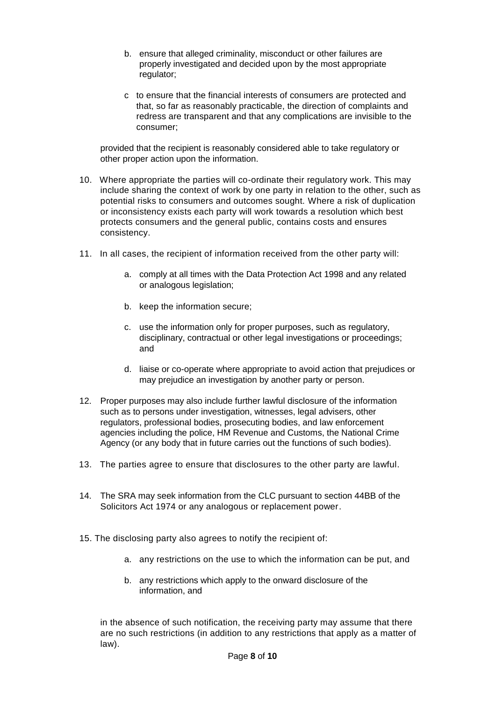- b. ensure that alleged criminality, misconduct or other failures are properly investigated and decided upon by the most appropriate regulator;
- c to ensure that the financial interests of consumers are protected and that, so far as reasonably practicable, the direction of complaints and redress are transparent and that any complications are invisible to the consumer;

provided that the recipient is reasonably considered able to take regulatory or other proper action upon the information.

- 10. Where appropriate the parties will co-ordinate their regulatory work. This may include sharing the context of work by one party in relation to the other, such as potential risks to consumers and outcomes sought. Where a risk of duplication or inconsistency exists each party will work towards a resolution which best protects consumers and the general public, contains costs and ensures consistency.
- 11. In all cases, the recipient of information received from the other party will:
	- a. comply at all times with the Data Protection Act 1998 and any related or analogous legislation;
	- b. keep the information secure;
	- c. use the information only for proper purposes, such as regulatory, disciplinary, contractual or other legal investigations or proceedings; and
	- d. liaise or co-operate where appropriate to avoid action that prejudices or may prejudice an investigation by another party or person.
- 12. Proper purposes may also include further lawful disclosure of the information such as to persons under investigation, witnesses, legal advisers, other regulators, professional bodies, prosecuting bodies, and law enforcement agencies including the police, HM Revenue and Customs, the National Crime Agency (or any body that in future carries out the functions of such bodies).
- 13. The parties agree to ensure that disclosures to the other party are lawful.
- 14. The SRA may seek information from the CLC pursuant to section 44BB of the Solicitors Act 1974 or any analogous or replacement power.
- 15. The disclosing party also agrees to notify the recipient of:
	- a. any restrictions on the use to which the information can be put, and
	- b. any restrictions which apply to the onward disclosure of the information, and

in the absence of such notification, the receiving party may assume that there are no such restrictions (in addition to any restrictions that apply as a matter of law).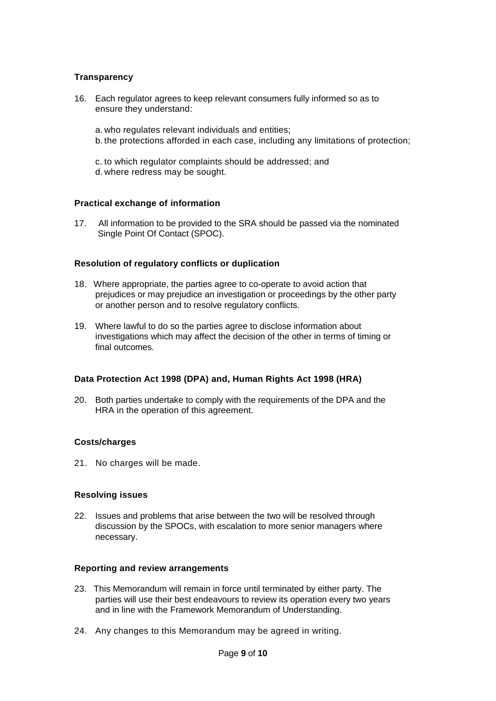#### **Transparency**

16. Each regulator agrees to keep relevant consumers fully informed so as to ensure they understand:

a. who regulates relevant individuals and entities; b. the protections afforded in each case, including any limitations of protection;

c. to which regulator complaints should be addressed; and d. where redress may be sought.

#### **Practical exchange of information**

17. All information to be provided to the SRA should be passed via the nominated Single Point Of Contact (SPOC).

#### **Resolution of regulatory conflicts or duplication**

- 18. Where appropriate, the parties agree to co-operate to avoid action that prejudices or may prejudice an investigation or proceedings by the other party or another person and to resolve regulatory conflicts.
- 19. Where lawful to do so the parties agree to disclose information about investigations which may affect the decision of the other in terms of timing or final outcomes.

#### **Data Protection Act 1998 (DPA) and, Human Rights Act 1998 (HRA)**

20. Both parties undertake to comply with the requirements of the DPA and the HRA in the operation of this agreement.

#### **Costs/charges**

21. No charges will be made.

#### **Resolving issues**

22. Issues and problems that arise between the two will be resolved through discussion by the SPOCs, with escalation to more senior managers where necessary.

#### **Reporting and review arrangements**

- 23. This Memorandum will remain in force until terminated by either party. The parties will use their best endeavours to review its operation every two years and in line with the Framework Memorandum of Understanding.
- 24. Any changes to this Memorandum may be agreed in writing.